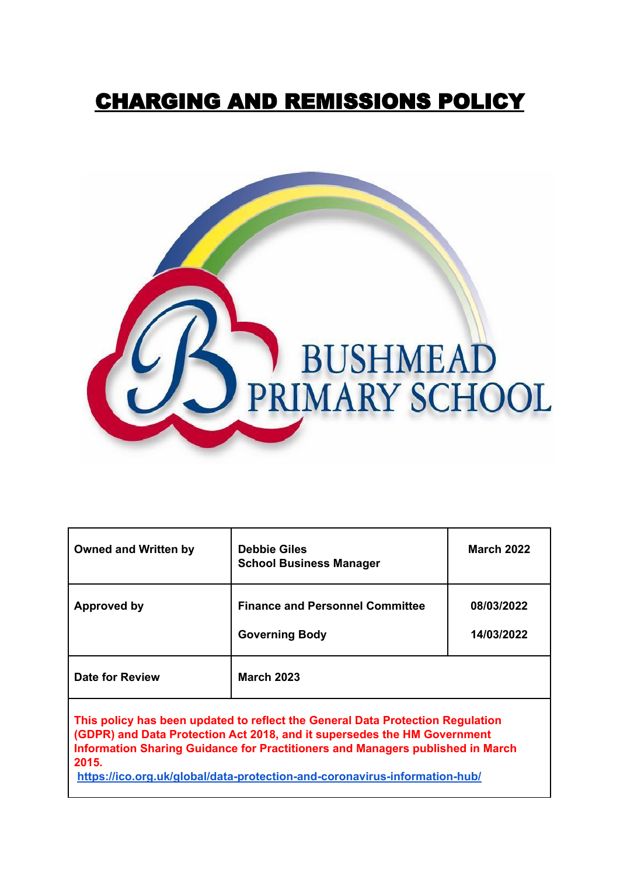# CHARGING AND REMISSIONS POLICY



| <b>Owned and Written by</b>                                                                                                                                                                                                                           | <b>Debbie Giles</b><br><b>School Business Manager</b>           | <b>March 2022</b>        |
|-------------------------------------------------------------------------------------------------------------------------------------------------------------------------------------------------------------------------------------------------------|-----------------------------------------------------------------|--------------------------|
| Approved by                                                                                                                                                                                                                                           | <b>Finance and Personnel Committee</b><br><b>Governing Body</b> | 08/03/2022<br>14/03/2022 |
| Date for Review                                                                                                                                                                                                                                       | <b>March 2023</b>                                               |                          |
| This policy has been updated to reflect the General Data Protection Regulation<br>(GDPR) and Data Protection Act 2018, and it supersedes the HM Government<br>Information Sharing Guidance for Practitioners and Managers published in March<br>2015. |                                                                 |                          |

**<https://ico.org.uk/global/data-protection-and-coronavirus-information-hub/>**